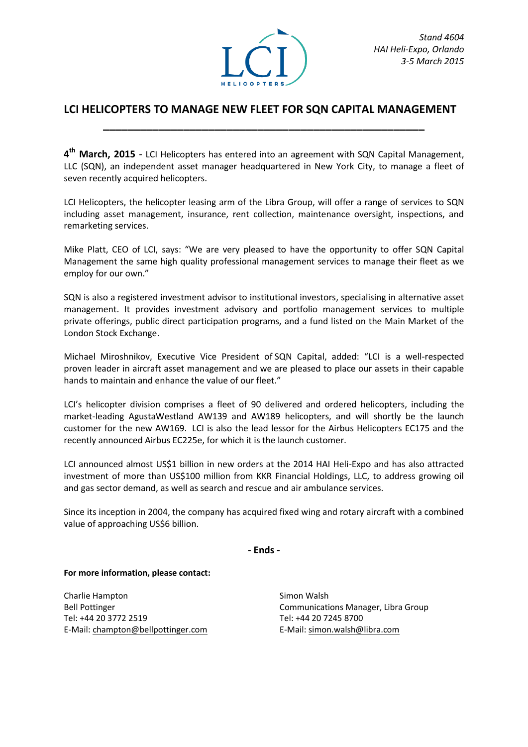

## **LCI HELICOPTERS TO MANAGE NEW FLEET FOR SQN CAPITAL MANAGEMENT \_\_\_\_\_\_\_\_\_\_\_\_\_\_\_\_\_\_\_\_\_\_\_\_\_\_\_\_\_\_\_\_\_\_\_\_\_\_\_\_\_\_\_\_\_\_\_\_\_\_\_\_**

**4 th March, 2015** - LCI Helicopters has entered into an agreement with SQN Capital Management, LLC (SQN), an independent asset manager headquartered in New York City, to manage a fleet of seven recently acquired helicopters.

LCI Helicopters, the helicopter leasing arm of the Libra Group, will offer a range of services to SQN including asset management, insurance, rent collection, maintenance oversight, inspections, and remarketing services.

Mike Platt, CEO of LCI, says: "We are very pleased to have the opportunity to offer SQN Capital Management the same high quality professional management services to manage their fleet as we employ for our own."

SQN is also a registered investment advisor to institutional investors, specialising in alternative asset management. It provides investment advisory and portfolio management services to multiple private offerings, public direct participation programs, and a fund listed on the Main Market of the London Stock Exchange.

Michael Miroshnikov, Executive Vice President of SQN Capital, added: "LCI is a well-respected proven leader in aircraft asset management and we are pleased to place our assets in their capable hands to maintain and enhance the value of our fleet."

LCI's helicopter division comprises a fleet of 90 delivered and ordered helicopters, including the market-leading AgustaWestland AW139 and AW189 helicopters, and will shortly be the launch customer for the new AW169. LCI is also the lead lessor for the Airbus Helicopters EC175 and the recently announced Airbus EC225e, for which it is the launch customer.

LCI announced almost US\$1 billion in new orders at the 2014 HAI Heli-Expo and has also attracted investment of more than US\$100 million from KKR Financial Holdings, LLC, to address growing oil and gas sector demand, as well as search and rescue and air ambulance services.

Since its inception in 2004, the company has acquired fixed wing and rotary aircraft with a combined value of approaching US\$6 billion.

**- Ends -**

## **For more information, please contact:**

Charlie Hampton Bell Pottinger Tel: +44 20 3772 2519 E-Mail[: champton@bellpottinger.com](mailto:champton@bellpottinger.com)

Simon Walsh Communications Manager, Libra Group Tel: +44 20 7245 8700 E-Mail[: simon.walsh@libra.com](mailto:gareth.zundel@libra.com)